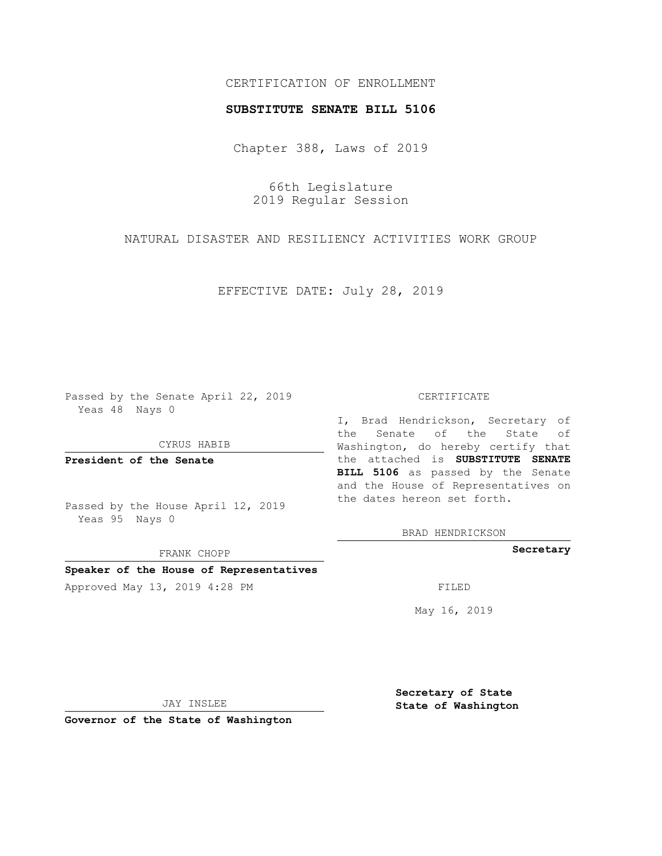## CERTIFICATION OF ENROLLMENT

### **SUBSTITUTE SENATE BILL 5106**

Chapter 388, Laws of 2019

66th Legislature 2019 Regular Session

NATURAL DISASTER AND RESILIENCY ACTIVITIES WORK GROUP

EFFECTIVE DATE: July 28, 2019

Passed by the Senate April 22, 2019 Yeas 48 Nays 0

CYRUS HABIB

**President of the Senate**

Passed by the House April 12, 2019 Yeas 95 Nays 0

FRANK CHOPP

### **Speaker of the House of Representatives**

Approved May 13, 2019 4:28 PM

#### CERTIFICATE

I, Brad Hendrickson, Secretary of the Senate of the State of Washington, do hereby certify that the attached is **SUBSTITUTE SENATE BILL 5106** as passed by the Senate and the House of Representatives on the dates hereon set forth.

BRAD HENDRICKSON

**Secretary**

May 16, 2019

JAY INSLEE

**Governor of the State of Washington**

**Secretary of State State of Washington**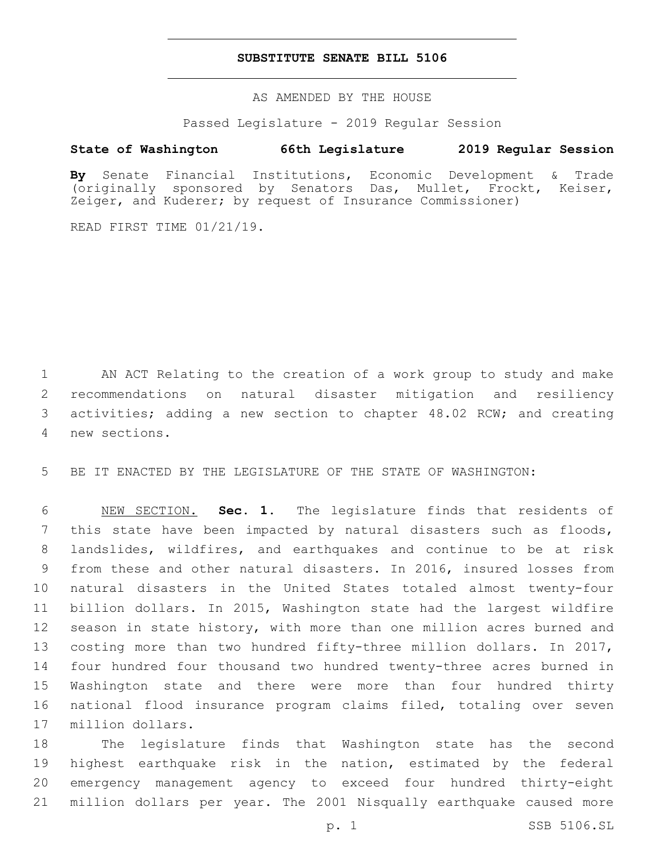### **SUBSTITUTE SENATE BILL 5106**

AS AMENDED BY THE HOUSE

Passed Legislature - 2019 Regular Session

# **State of Washington 66th Legislature 2019 Regular Session**

**By** Senate Financial Institutions, Economic Development & Trade (originally sponsored by Senators Das, Mullet, Frockt, Keiser, Zeiger, and Kuderer; by request of Insurance Commissioner)

READ FIRST TIME 01/21/19.

 AN ACT Relating to the creation of a work group to study and make recommendations on natural disaster mitigation and resiliency activities; adding a new section to chapter 48.02 RCW; and creating new sections.4

BE IT ENACTED BY THE LEGISLATURE OF THE STATE OF WASHINGTON:

 NEW SECTION. **Sec. 1.** The legislature finds that residents of this state have been impacted by natural disasters such as floods, landslides, wildfires, and earthquakes and continue to be at risk from these and other natural disasters. In 2016, insured losses from natural disasters in the United States totaled almost twenty-four billion dollars. In 2015, Washington state had the largest wildfire season in state history, with more than one million acres burned and costing more than two hundred fifty-three million dollars. In 2017, four hundred four thousand two hundred twenty-three acres burned in Washington state and there were more than four hundred thirty national flood insurance program claims filed, totaling over seven million dollars.

 The legislature finds that Washington state has the second highest earthquake risk in the nation, estimated by the federal emergency management agency to exceed four hundred thirty-eight million dollars per year. The 2001 Nisqually earthquake caused more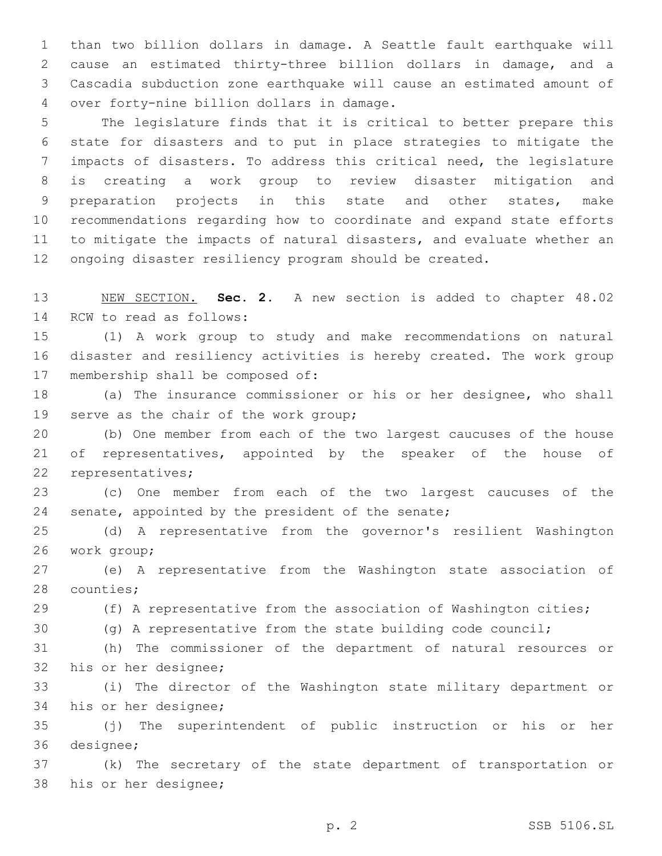than two billion dollars in damage. A Seattle fault earthquake will cause an estimated thirty-three billion dollars in damage, and a Cascadia subduction zone earthquake will cause an estimated amount of 4 over forty-nine billion dollars in damage.

 The legislature finds that it is critical to better prepare this state for disasters and to put in place strategies to mitigate the impacts of disasters. To address this critical need, the legislature is creating a work group to review disaster mitigation and preparation projects in this state and other states, make recommendations regarding how to coordinate and expand state efforts to mitigate the impacts of natural disasters, and evaluate whether an ongoing disaster resiliency program should be created.

 NEW SECTION. **Sec. 2.** A new section is added to chapter 48.02 14 RCW to read as follows:

 (1) A work group to study and make recommendations on natural disaster and resiliency activities is hereby created. The work group 17 membership shall be composed of:

 (a) The insurance commissioner or his or her designee, who shall 19 serve as the chair of the work group;

 (b) One member from each of the two largest caucuses of the house 21 of representatives, appointed by the speaker of the house of 22 representatives;

 (c) One member from each of the two largest caucuses of the 24 senate, appointed by the president of the senate;

 (d) A representative from the governor's resilient Washington 26 work group;

 (e) A representative from the Washington state association of 28 counties;

(f) A representative from the association of Washington cities;

(g) A representative from the state building code council;

 (h) The commissioner of the department of natural resources or 32 his or her designee;

 (i) The director of the Washington state military department or 34 his or her designee;

 (j) The superintendent of public instruction or his or her 36 designee;

 (k) The secretary of the state department of transportation or 38 his or her designee;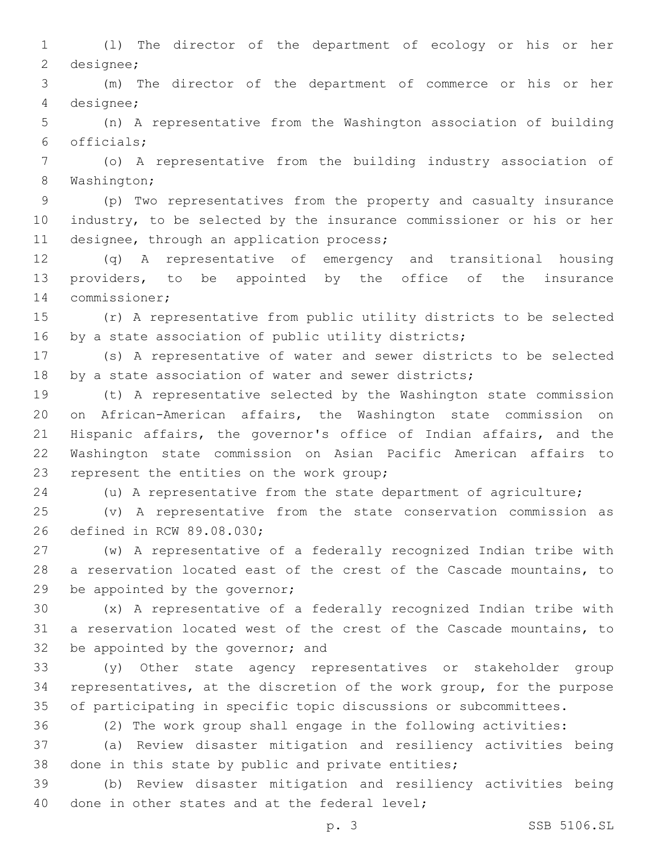(l) The director of the department of ecology or his or her 2 designee;

 (m) The director of the department of commerce or his or her 4 designee;

 (n) A representative from the Washington association of building officials;6

 (o) A representative from the building industry association of 8 Washington;

 (p) Two representatives from the property and casualty insurance industry, to be selected by the insurance commissioner or his or her 11 designee, through an application process;

 (q) A representative of emergency and transitional housing providers, to be appointed by the office of the insurance 14 commissioner;

 (r) A representative from public utility districts to be selected 16 by a state association of public utility districts;

 (s) A representative of water and sewer districts to be selected 18 by a state association of water and sewer districts;

 (t) A representative selected by the Washington state commission on African-American affairs, the Washington state commission on Hispanic affairs, the governor's office of Indian affairs, and the Washington state commission on Asian Pacific American affairs to 23 represent the entities on the work group;

(u) A representative from the state department of agriculture;

 (v) A representative from the state conservation commission as 26 defined in RCW 89.08.030;

 (w) A representative of a federally recognized Indian tribe with a reservation located east of the crest of the Cascade mountains, to 29 be appointed by the governor;

 (x) A representative of a federally recognized Indian tribe with a reservation located west of the crest of the Cascade mountains, to 32 be appointed by the governor; and

 (y) Other state agency representatives or stakeholder group representatives, at the discretion of the work group, for the purpose of participating in specific topic discussions or subcommittees.

(2) The work group shall engage in the following activities:

 (a) Review disaster mitigation and resiliency activities being done in this state by public and private entities;

 (b) Review disaster mitigation and resiliency activities being 40 done in other states and at the federal level;